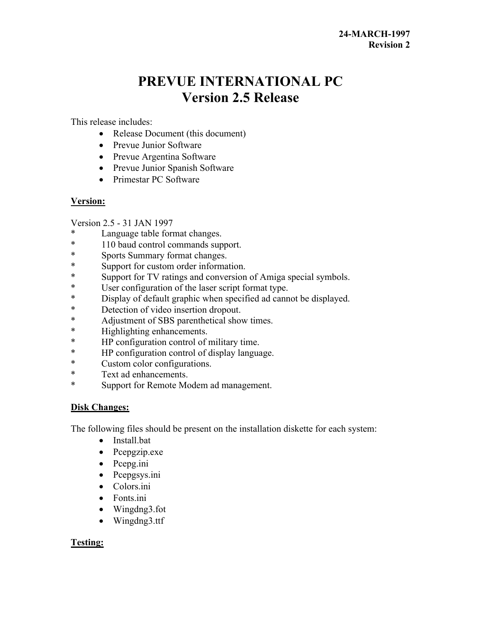# **PREVUE INTERNATIONAL PC Version 2.5 Release**

This release includes:

- Release Document (this document)
- Prevue Junior Software
- Prevue Argentina Software
- Prevue Junior Spanish Software
- Primestar PC Software

## **Version:**

Version 2.5 - 31 JAN 1997

- Language table format changes.
- \* 110 baud control commands support.
- \* Sports Summary format changes.
- \* Support for custom order information.
- \* Support for TV ratings and conversion of Amiga special symbols.
- \* User configuration of the laser script format type.<br>\* Display of default graphic when specified ad cann
- Display of default graphic when specified ad cannot be displayed.
- \* Detection of video insertion dropout.<br>  $*$  Adjustment of SBS parenthetical show
- Adjustment of SBS parenthetical show times.
- \* Highlighting enhancements.
- \* HP configuration control of military time.
- \* HP configuration control of display language.
- \* Custom color configurations.
- \* Text ad enhancements.
- \* Support for Remote Modem ad management.

# **Disk Changes:**

The following files should be present on the installation diskette for each system:

- Install.bat
- Pcepgzip.exe
- Pcepg.ini
- Pcepgsys.ini
- Colors.ini
- Fonts.ini
- Wingdng3.fot
- Wingdng3.ttf

# **Testing:**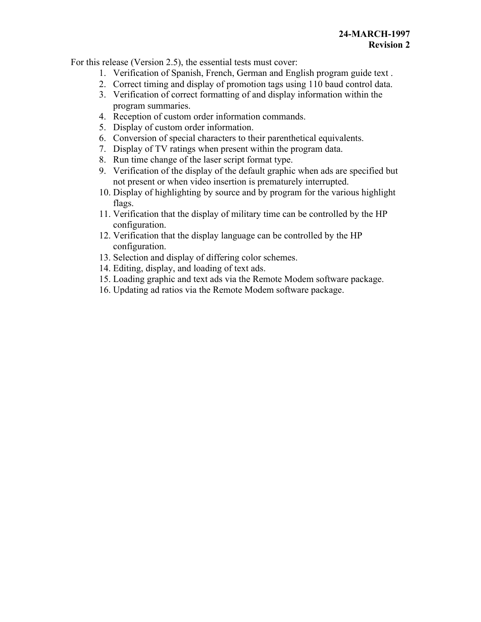For this release (Version 2.5), the essential tests must cover:

- 1. Verification of Spanish, French, German and English program guide text .
- 2. Correct timing and display of promotion tags using 110 baud control data.
- 3. Verification of correct formatting of and display information within the program summaries.
- 4. Reception of custom order information commands.
- 5. Display of custom order information.
- 6. Conversion of special characters to their parenthetical equivalents.
- 7. Display of TV ratings when present within the program data.
- 8. Run time change of the laser script format type.
- 9. Verification of the display of the default graphic when ads are specified but not present or when video insertion is prematurely interrupted.
- 10. Display of highlighting by source and by program for the various highlight flags.
- 11. Verification that the display of military time can be controlled by the HP configuration.
- 12. Verification that the display language can be controlled by the HP configuration.
- 13. Selection and display of differing color schemes.
- 14. Editing, display, and loading of text ads.
- 15. Loading graphic and text ads via the Remote Modem software package.
- 16. Updating ad ratios via the Remote Modem software package.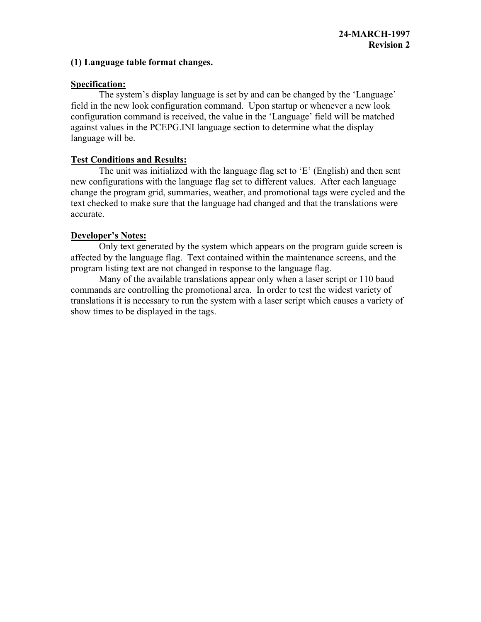#### **(1) Language table format changes.**

#### **Specification:**

The system's display language is set by and can be changed by the 'Language' field in the new look configuration command. Upon startup or whenever a new look configuration command is received, the value in the 'Language' field will be matched against values in the PCEPG.INI language section to determine what the display language will be.

## **Test Conditions and Results:**

The unit was initialized with the language flag set to 'E' (English) and then sent new configurations with the language flag set to different values. After each language change the program grid, summaries, weather, and promotional tags were cycled and the text checked to make sure that the language had changed and that the translations were accurate.

## **Developer's Notes:**

Only text generated by the system which appears on the program guide screen is affected by the language flag. Text contained within the maintenance screens, and the program listing text are not changed in response to the language flag.

Many of the available translations appear only when a laser script or 110 baud commands are controlling the promotional area. In order to test the widest variety of translations it is necessary to run the system with a laser script which causes a variety of show times to be displayed in the tags.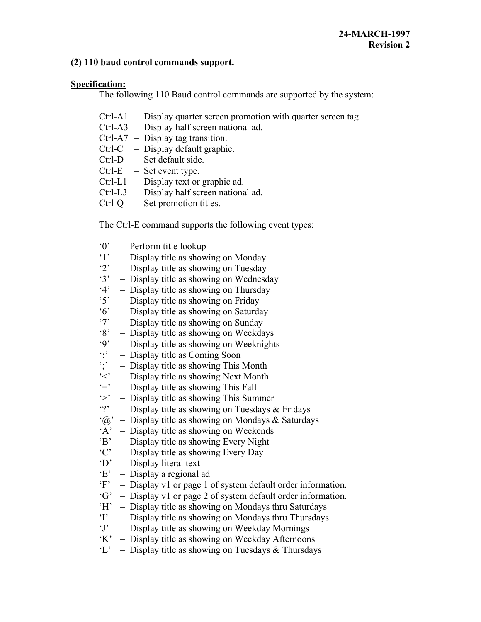#### **(2) 110 baud control commands support.**

## **Specification:**

The following 110 Baud control commands are supported by the system:

- Ctrl-A1 Display quarter screen promotion with quarter screen tag.
- Ctrl-A3 Display half screen national ad.
- Ctrl-A7 Display tag transition.
- Ctrl-C Display default graphic.
- Ctrl-D Set default side.
- $Ctrl-E$  Set event type.
- Ctrl-L1 Display text or graphic ad.
- Ctrl-L3 Display half screen national ad.
- Ctrl-Q Set promotion titles.

The Ctrl-E command supports the following event types:

- '0' Perform title lookup
- '1' Display title as showing on Monday
- '2' Display title as showing on Tuesday
- '3' Display title as showing on Wednesday
- '4' Display title as showing on Thursday
- '5' Display title as showing on Friday<br>'6' Display title as showing on Saturda
- Display title as showing on Saturday
- '7' Display title as showing on Sunday
- '8' Display title as showing on Weekdays<br>'9' Display title as showing on Weeknight
- '9' Display title as showing on Weeknights<br>':' Display title as Coming Soon
- 
- :: <br>
 Display title as Coming Soon<br>
: <br>
 Display title as showing This  $\dot{\cdot}$ ; – Display title as showing This Month<br> $\dot{\cdot}$  – Display title as showing Next Month
- Display title as showing Next Month
- $\dot{z}$  Display title as showing This Fall<br> $\dot{z}$  Display title as showing This Sum
- Display title as showing This Summer
- '?' Display title as showing on Tuesdays & Fridays
- $\hat{a}$  Display title as showing on Mondays & Saturdays
- 'A' Display title as showing on Weekends
- 'B' Display title as showing Every Night
- 'C' Display title as showing Every Day
- 'D' Display literal text
- 'E' Display a regional ad
- 'F' Display v1 or page 1 of system default order information.
- 'G' Display v1 or page 2 of system default order information.
- 'H' Display title as showing on Mondays thru Saturdays
- 'I' Display title as showing on Mondays thru Thursdays
- 'J' Display title as showing on Weekday Mornings
- 'K' Display title as showing on Weekday Afternoons
- $'L'$  Display title as showing on Tuesdays & Thursdays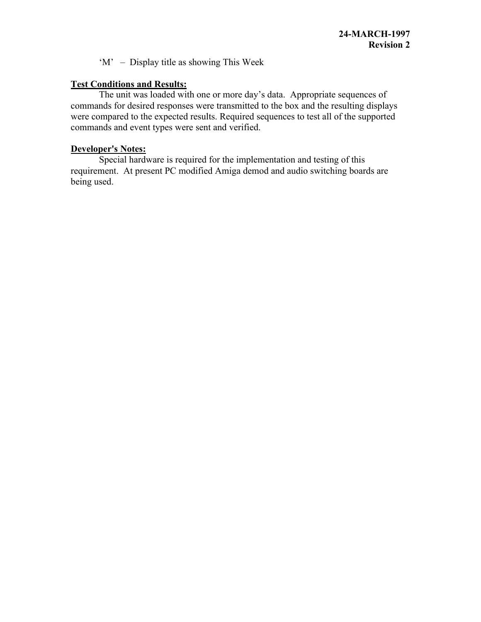'M' – Display title as showing This Week

## **Test Conditions and Results:**

The unit was loaded with one or more day's data. Appropriate sequences of commands for desired responses were transmitted to the box and the resulting displays were compared to the expected results. Required sequences to test all of the supported commands and event types were sent and verified.

## **Developer's Notes:**

Special hardware is required for the implementation and testing of this requirement. At present PC modified Amiga demod and audio switching boards are being used.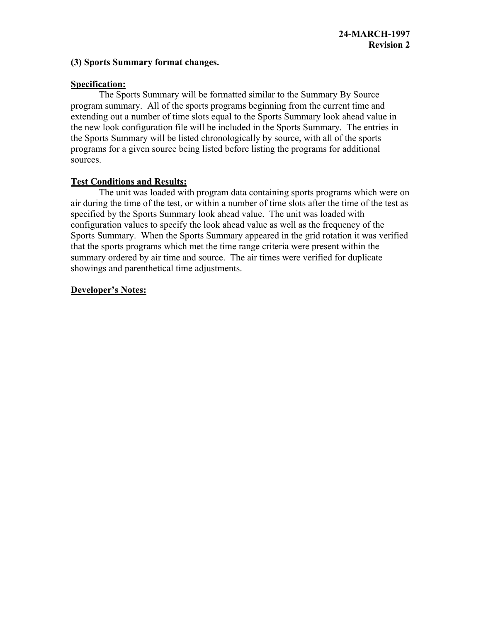#### **(3) Sports Summary format changes.**

#### **Specification:**

The Sports Summary will be formatted similar to the Summary By Source program summary. All of the sports programs beginning from the current time and extending out a number of time slots equal to the Sports Summary look ahead value in the new look configuration file will be included in the Sports Summary. The entries in the Sports Summary will be listed chronologically by source, with all of the sports programs for a given source being listed before listing the programs for additional sources.

## **Test Conditions and Results:**

The unit was loaded with program data containing sports programs which were on air during the time of the test, or within a number of time slots after the time of the test as specified by the Sports Summary look ahead value. The unit was loaded with configuration values to specify the look ahead value as well as the frequency of the Sports Summary. When the Sports Summary appeared in the grid rotation it was verified that the sports programs which met the time range criteria were present within the summary ordered by air time and source. The air times were verified for duplicate showings and parenthetical time adjustments.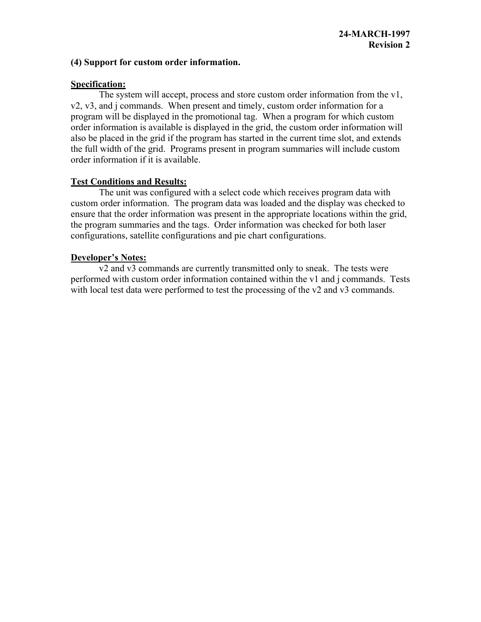#### **(4) Support for custom order information.**

#### **Specification:**

The system will accept, process and store custom order information from the v1, v2, v3, and j commands. When present and timely, custom order information for a program will be displayed in the promotional tag. When a program for which custom order information is available is displayed in the grid, the custom order information will also be placed in the grid if the program has started in the current time slot, and extends the full width of the grid. Programs present in program summaries will include custom order information if it is available.

## **Test Conditions and Results:**

The unit was configured with a select code which receives program data with custom order information. The program data was loaded and the display was checked to ensure that the order information was present in the appropriate locations within the grid, the program summaries and the tags. Order information was checked for both laser configurations, satellite configurations and pie chart configurations.

#### **Developer's Notes:**

v2 and v3 commands are currently transmitted only to sneak. The tests were performed with custom order information contained within the v1 and j commands. Tests with local test data were performed to test the processing of the v2 and v3 commands.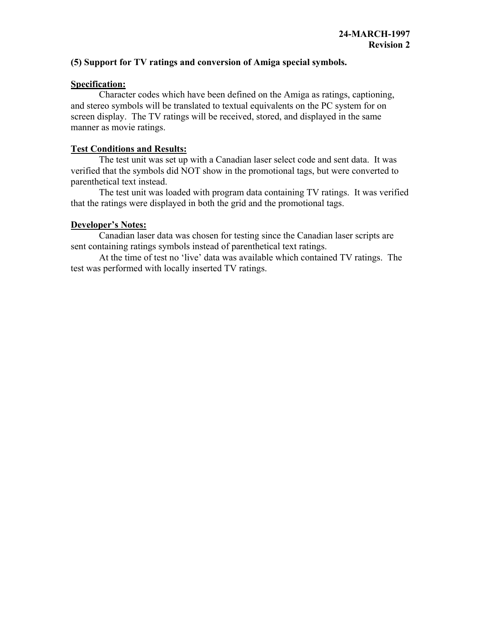## **(5) Support for TV ratings and conversion of Amiga special symbols.**

#### **Specification:**

Character codes which have been defined on the Amiga as ratings, captioning, and stereo symbols will be translated to textual equivalents on the PC system for on screen display. The TV ratings will be received, stored, and displayed in the same manner as movie ratings.

#### **Test Conditions and Results:**

The test unit was set up with a Canadian laser select code and sent data. It was verified that the symbols did NOT show in the promotional tags, but were converted to parenthetical text instead.

The test unit was loaded with program data containing TV ratings. It was verified that the ratings were displayed in both the grid and the promotional tags.

#### **Developer's Notes:**

Canadian laser data was chosen for testing since the Canadian laser scripts are sent containing ratings symbols instead of parenthetical text ratings.

At the time of test no 'live' data was available which contained TV ratings. The test was performed with locally inserted TV ratings.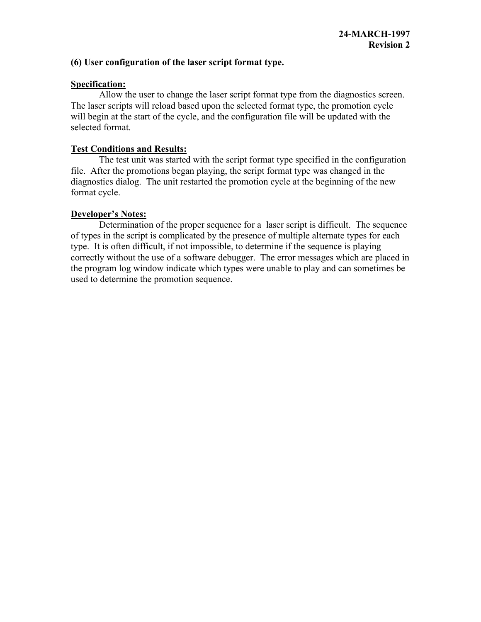## **(6) User configuration of the laser script format type.**

## **Specification:**

Allow the user to change the laser script format type from the diagnostics screen. The laser scripts will reload based upon the selected format type, the promotion cycle will begin at the start of the cycle, and the configuration file will be updated with the selected format.

## **Test Conditions and Results:**

The test unit was started with the script format type specified in the configuration file. After the promotions began playing, the script format type was changed in the diagnostics dialog. The unit restarted the promotion cycle at the beginning of the new format cycle.

## **Developer's Notes:**

Determination of the proper sequence for a laser script is difficult. The sequence of types in the script is complicated by the presence of multiple alternate types for each type. It is often difficult, if not impossible, to determine if the sequence is playing correctly without the use of a software debugger. The error messages which are placed in the program log window indicate which types were unable to play and can sometimes be used to determine the promotion sequence.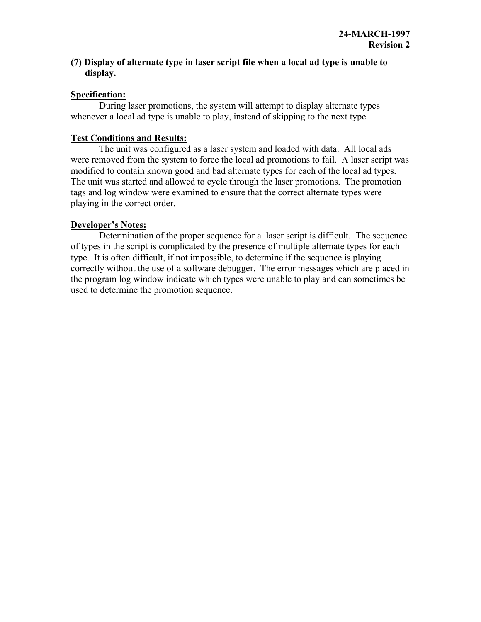## **(7) Display of alternate type in laser script file when a local ad type is unable to display.**

## **Specification:**

During laser promotions, the system will attempt to display alternate types whenever a local ad type is unable to play, instead of skipping to the next type.

## **Test Conditions and Results:**

The unit was configured as a laser system and loaded with data. All local ads were removed from the system to force the local ad promotions to fail. A laser script was modified to contain known good and bad alternate types for each of the local ad types. The unit was started and allowed to cycle through the laser promotions. The promotion tags and log window were examined to ensure that the correct alternate types were playing in the correct order.

## **Developer's Notes:**

Determination of the proper sequence for a laser script is difficult. The sequence of types in the script is complicated by the presence of multiple alternate types for each type. It is often difficult, if not impossible, to determine if the sequence is playing correctly without the use of a software debugger. The error messages which are placed in the program log window indicate which types were unable to play and can sometimes be used to determine the promotion sequence.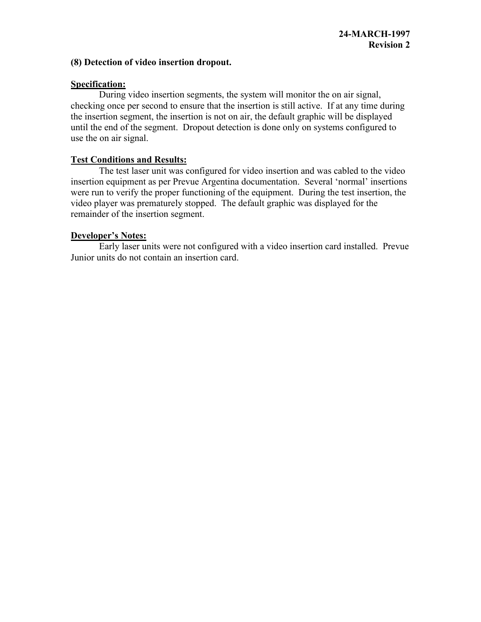#### **(8) Detection of video insertion dropout.**

## **Specification:**

During video insertion segments, the system will monitor the on air signal, checking once per second to ensure that the insertion is still active. If at any time during the insertion segment, the insertion is not on air, the default graphic will be displayed until the end of the segment. Dropout detection is done only on systems configured to use the on air signal.

## **Test Conditions and Results:**

The test laser unit was configured for video insertion and was cabled to the video insertion equipment as per Prevue Argentina documentation. Several 'normal' insertions were run to verify the proper functioning of the equipment. During the test insertion, the video player was prematurely stopped. The default graphic was displayed for the remainder of the insertion segment.

## **Developer's Notes:**

Early laser units were not configured with a video insertion card installed. Prevue Junior units do not contain an insertion card.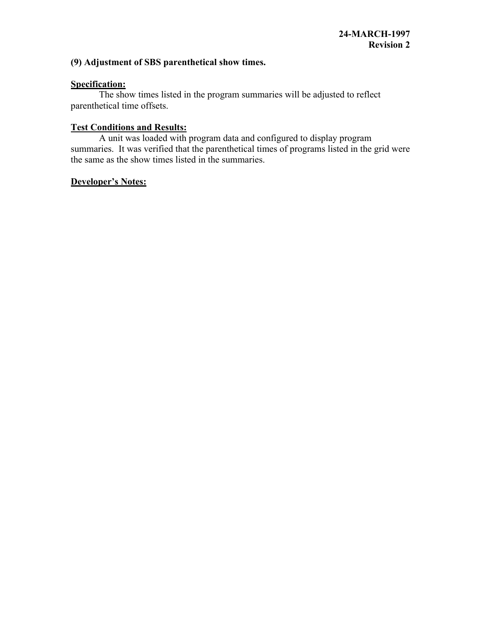# **(9) Adjustment of SBS parenthetical show times.**

## **Specification:**

The show times listed in the program summaries will be adjusted to reflect parenthetical time offsets.

## **Test Conditions and Results:**

A unit was loaded with program data and configured to display program summaries. It was verified that the parenthetical times of programs listed in the grid were the same as the show times listed in the summaries.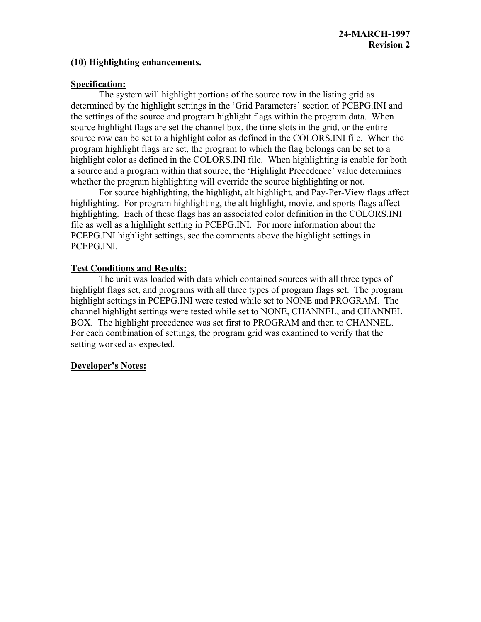## **(10) Highlighting enhancements.**

#### **Specification:**

The system will highlight portions of the source row in the listing grid as determined by the highlight settings in the 'Grid Parameters' section of PCEPG.INI and the settings of the source and program highlight flags within the program data. When source highlight flags are set the channel box, the time slots in the grid, or the entire source row can be set to a highlight color as defined in the COLORS.INI file. When the program highlight flags are set, the program to which the flag belongs can be set to a highlight color as defined in the COLORS.INI file. When highlighting is enable for both a source and a program within that source, the 'Highlight Precedence' value determines whether the program highlighting will override the source highlighting or not.

For source highlighting, the highlight, alt highlight, and Pay-Per-View flags affect highlighting. For program highlighting, the alt highlight, movie, and sports flags affect highlighting. Each of these flags has an associated color definition in the COLORS.INI file as well as a highlight setting in PCEPG.INI. For more information about the PCEPG.INI highlight settings, see the comments above the highlight settings in PCEPG.INI.

## **Test Conditions and Results:**

The unit was loaded with data which contained sources with all three types of highlight flags set, and programs with all three types of program flags set. The program highlight settings in PCEPG.INI were tested while set to NONE and PROGRAM. The channel highlight settings were tested while set to NONE, CHANNEL, and CHANNEL BOX. The highlight precedence was set first to PROGRAM and then to CHANNEL. For each combination of settings, the program grid was examined to verify that the setting worked as expected.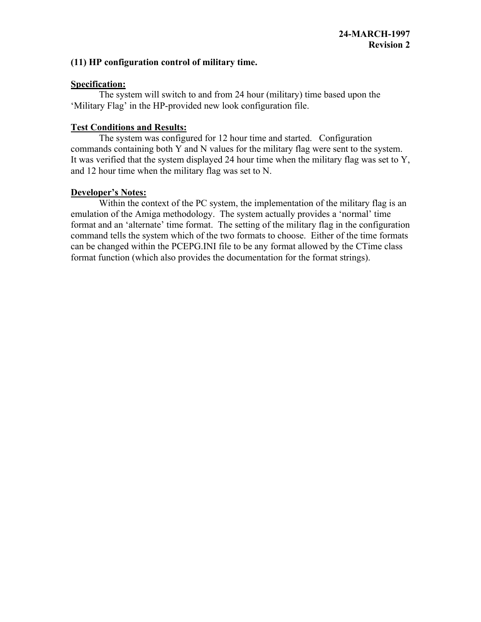## **(11) HP configuration control of military time.**

## **Specification:**

The system will switch to and from 24 hour (military) time based upon the 'Military Flag' in the HP-provided new look configuration file.

## **Test Conditions and Results:**

The system was configured for 12 hour time and started. Configuration commands containing both Y and N values for the military flag were sent to the system. It was verified that the system displayed 24 hour time when the military flag was set to Y, and 12 hour time when the military flag was set to N.

## **Developer's Notes:**

Within the context of the PC system, the implementation of the military flag is an emulation of the Amiga methodology. The system actually provides a 'normal' time format and an 'alternate' time format. The setting of the military flag in the configuration command tells the system which of the two formats to choose. Either of the time formats can be changed within the PCEPG.INI file to be any format allowed by the CTime class format function (which also provides the documentation for the format strings).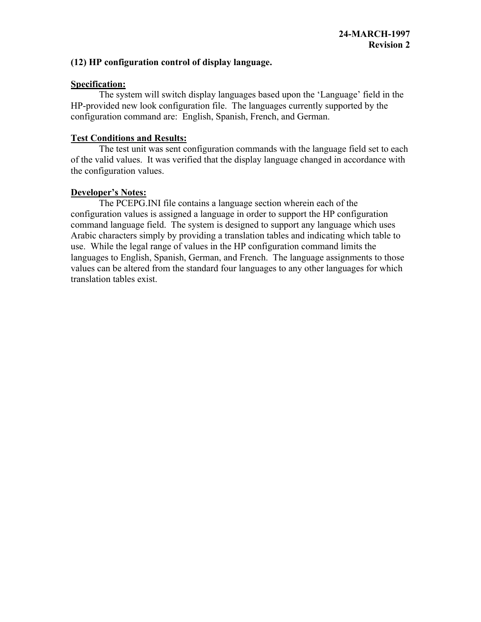## **(12) HP configuration control of display language.**

## **Specification:**

The system will switch display languages based upon the 'Language' field in the HP-provided new look configuration file. The languages currently supported by the configuration command are: English, Spanish, French, and German.

## **Test Conditions and Results:**

The test unit was sent configuration commands with the language field set to each of the valid values. It was verified that the display language changed in accordance with the configuration values.

# **Developer's Notes:**

The PCEPG.INI file contains a language section wherein each of the configuration values is assigned a language in order to support the HP configuration command language field. The system is designed to support any language which uses Arabic characters simply by providing a translation tables and indicating which table to use. While the legal range of values in the HP configuration command limits the languages to English, Spanish, German, and French. The language assignments to those values can be altered from the standard four languages to any other languages for which translation tables exist.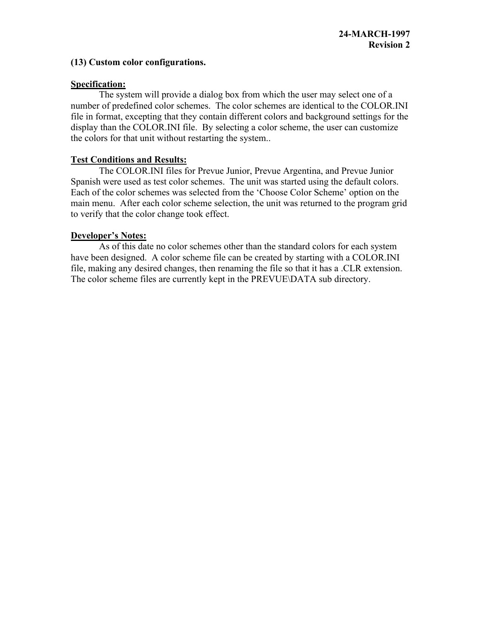## **(13) Custom color configurations.**

#### **Specification:**

The system will provide a dialog box from which the user may select one of a number of predefined color schemes. The color schemes are identical to the COLOR.INI file in format, excepting that they contain different colors and background settings for the display than the COLOR.INI file. By selecting a color scheme, the user can customize the colors for that unit without restarting the system..

## **Test Conditions and Results:**

The COLOR.INI files for Prevue Junior, Prevue Argentina, and Prevue Junior Spanish were used as test color schemes. The unit was started using the default colors. Each of the color schemes was selected from the 'Choose Color Scheme' option on the main menu. After each color scheme selection, the unit was returned to the program grid to verify that the color change took effect.

## **Developer's Notes:**

As of this date no color schemes other than the standard colors for each system have been designed. A color scheme file can be created by starting with a COLOR.INI file, making any desired changes, then renaming the file so that it has a .CLR extension. The color scheme files are currently kept in the PREVUE\DATA sub directory.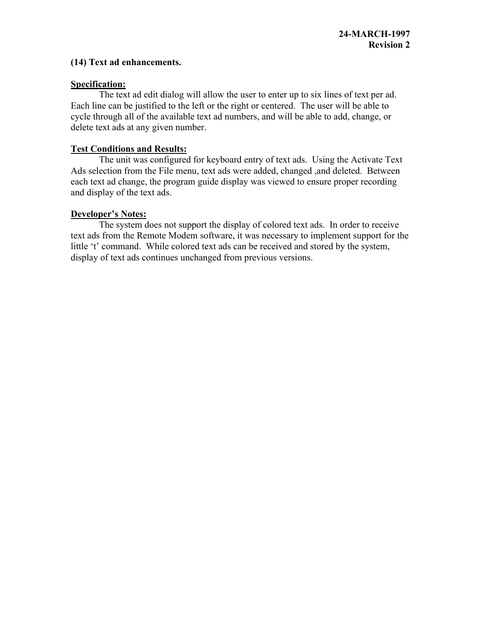#### **(14) Text ad enhancements.**

#### **Specification:**

The text ad edit dialog will allow the user to enter up to six lines of text per ad. Each line can be justified to the left or the right or centered. The user will be able to cycle through all of the available text ad numbers, and will be able to add, change, or delete text ads at any given number.

#### **Test Conditions and Results:**

The unit was configured for keyboard entry of text ads. Using the Activate Text Ads selection from the File menu, text ads were added, changed ,and deleted. Between each text ad change, the program guide display was viewed to ensure proper recording and display of the text ads.

#### **Developer's Notes:**

The system does not support the display of colored text ads. In order to receive text ads from the Remote Modem software, it was necessary to implement support for the little 't' command. While colored text ads can be received and stored by the system, display of text ads continues unchanged from previous versions.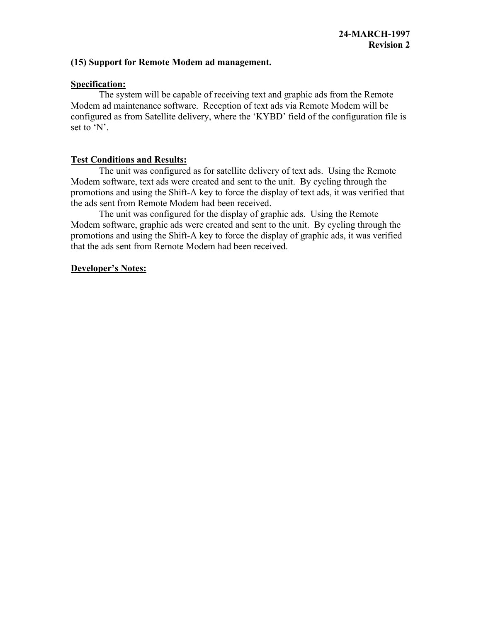#### **(15) Support for Remote Modem ad management.**

#### **Specification:**

The system will be capable of receiving text and graphic ads from the Remote Modem ad maintenance software. Reception of text ads via Remote Modem will be configured as from Satellite delivery, where the 'KYBD' field of the configuration file is set to 'N'.

## **Test Conditions and Results:**

The unit was configured as for satellite delivery of text ads. Using the Remote Modem software, text ads were created and sent to the unit. By cycling through the promotions and using the Shift-A key to force the display of text ads, it was verified that the ads sent from Remote Modem had been received.

The unit was configured for the display of graphic ads. Using the Remote Modem software, graphic ads were created and sent to the unit. By cycling through the promotions and using the Shift-A key to force the display of graphic ads, it was verified that the ads sent from Remote Modem had been received.